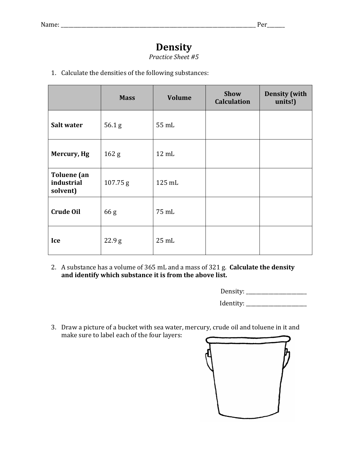## **Density**

*Practice Sheet #5*

1. Calculate the densities of the following substances:

|                                              | <b>Mass</b>       | <b>Volume</b>   | Show<br><b>Calculation</b> | <b>Density</b> (with<br>units!) |
|----------------------------------------------|-------------------|-----------------|----------------------------|---------------------------------|
| Salt water                                   | 56.1 <sub>g</sub> | 55 mL           |                            |                                 |
| Mercury, Hg                                  | 162 <sub>g</sub>  | $12 \text{ mL}$ |                            |                                 |
| <b>Toluene</b> (an<br>industrial<br>solvent) | 107.75 g          | 125 mL          |                            |                                 |
| <b>Crude Oil</b>                             | 66 <sub>g</sub>   | 75 mL           |                            |                                 |
| Ice                                          | 22.9 <sub>g</sub> | $25$ mL         |                            |                                 |

2. A substance has a volume of 365 mL and a mass of 321 g. **Calculate the density** and identify which substance it is from the above list.

| Density: |
|----------|
|----------|

Identity: \_\_\_\_\_\_\_\_\_\_\_\_\_\_\_\_\_\_\_\_\_\_\_\_

3. Draw a picture of a bucket with sea water, mercury, crude oil and toluene in it and make sure to label each of the four layers: